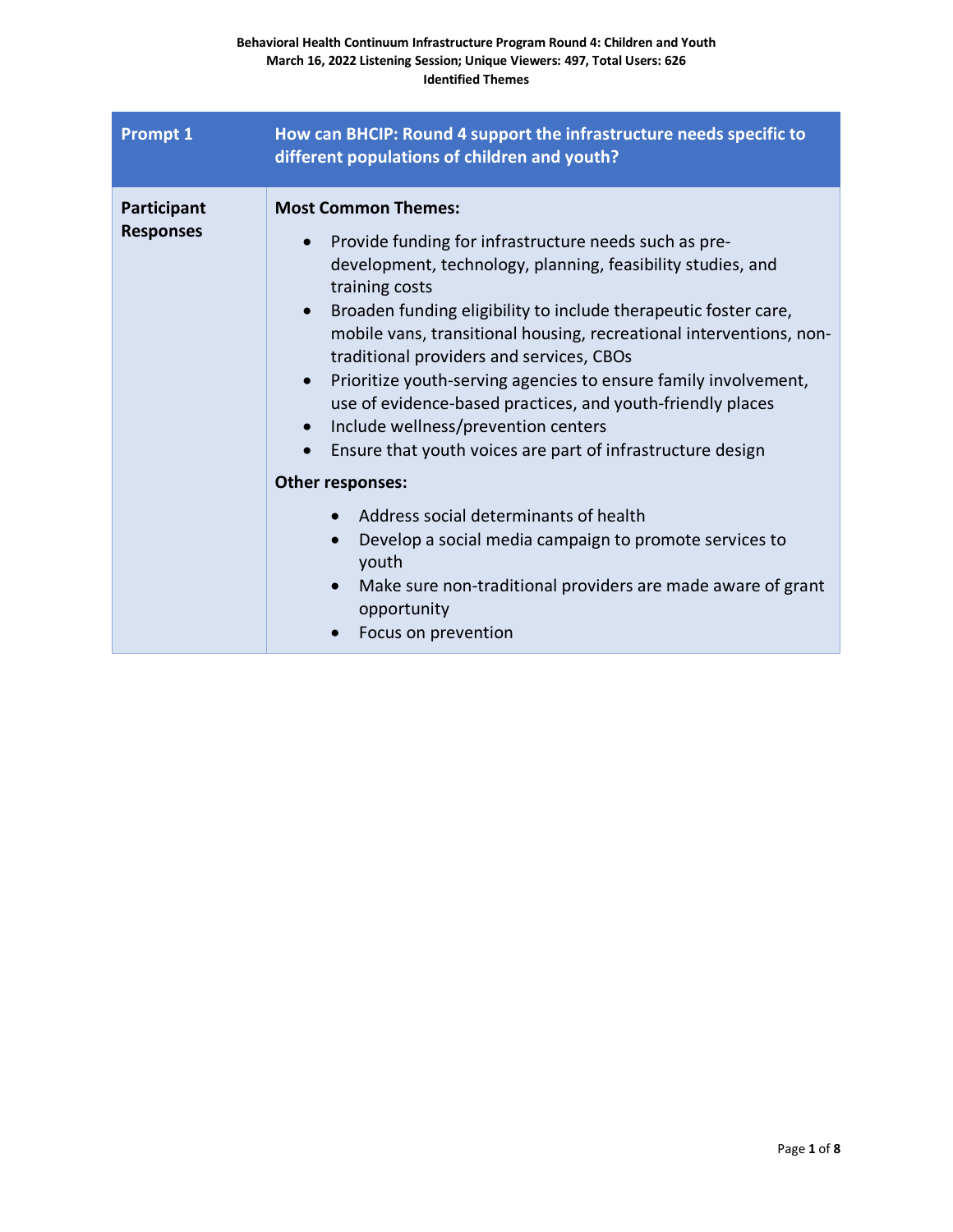| <b>Prompt 1</b>                 | How can BHCIP: Round 4 support the infrastructure needs specific to<br>different populations of children and youth?                                                                                                                                                                                                                                                                                                                                                                                                                                                                                                                                                                                                                                                                                                                                                          |
|---------------------------------|------------------------------------------------------------------------------------------------------------------------------------------------------------------------------------------------------------------------------------------------------------------------------------------------------------------------------------------------------------------------------------------------------------------------------------------------------------------------------------------------------------------------------------------------------------------------------------------------------------------------------------------------------------------------------------------------------------------------------------------------------------------------------------------------------------------------------------------------------------------------------|
| Participant<br><b>Responses</b> | <b>Most Common Themes:</b><br>Provide funding for infrastructure needs such as pre-<br>$\bullet$<br>development, technology, planning, feasibility studies, and<br>training costs<br>Broaden funding eligibility to include therapeutic foster care,<br>mobile vans, transitional housing, recreational interventions, non-<br>traditional providers and services, CBOs<br>Prioritize youth-serving agencies to ensure family involvement,<br>$\bullet$<br>use of evidence-based practices, and youth-friendly places<br>Include wellness/prevention centers<br>Ensure that youth voices are part of infrastructure design<br>Other responses:<br>Address social determinants of health<br>Develop a social media campaign to promote services to<br>$\bullet$<br>youth<br>Make sure non-traditional providers are made aware of grant<br>opportunity<br>Focus on prevention |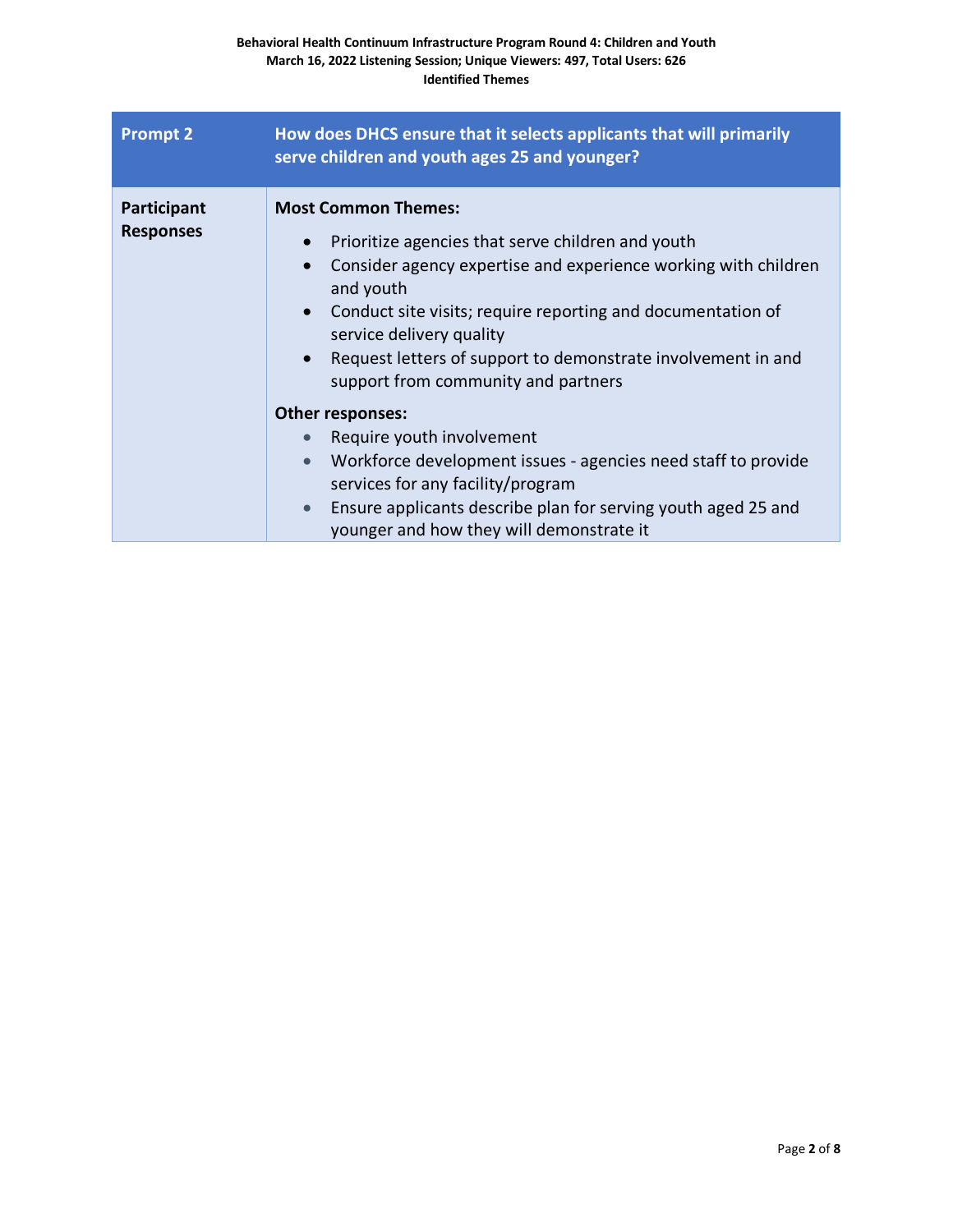| <b>Prompt 2</b>                 | How does DHCS ensure that it selects applicants that will primarily<br>serve children and youth ages 25 and younger?                                                                                                                                                                                                                                                                                                                                                                                                                                                                                                                                                                                               |
|---------------------------------|--------------------------------------------------------------------------------------------------------------------------------------------------------------------------------------------------------------------------------------------------------------------------------------------------------------------------------------------------------------------------------------------------------------------------------------------------------------------------------------------------------------------------------------------------------------------------------------------------------------------------------------------------------------------------------------------------------------------|
| Participant<br><b>Responses</b> | <b>Most Common Themes:</b><br>Prioritize agencies that serve children and youth<br>$\bullet$<br>Consider agency expertise and experience working with children<br>and youth<br>Conduct site visits; require reporting and documentation of<br>$\bullet$<br>service delivery quality<br>Request letters of support to demonstrate involvement in and<br>$\bullet$<br>support from community and partners<br>Other responses:<br>Require youth involvement<br>$\bullet$<br>Workforce development issues - agencies need staff to provide<br>$\bullet$<br>services for any facility/program<br>Ensure applicants describe plan for serving youth aged 25 and<br>$\bullet$<br>younger and how they will demonstrate it |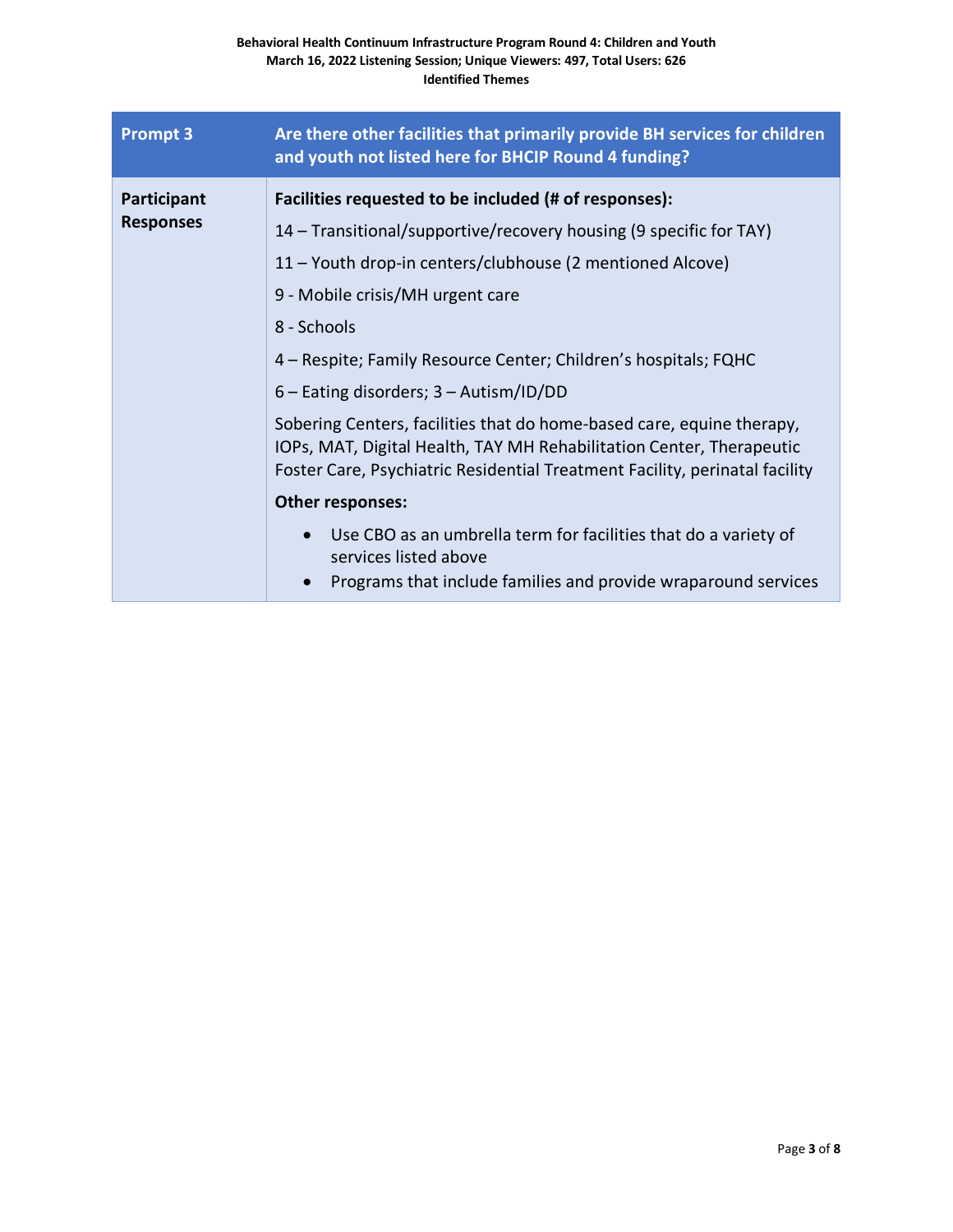| <b>Prompt 3</b>                 | Are there other facilities that primarily provide BH services for children<br>and youth not listed here for BHCIP Round 4 funding?                                                                                                                                                                                                                                                                                                                                                                                                                                                                                                                                                                           |
|---------------------------------|--------------------------------------------------------------------------------------------------------------------------------------------------------------------------------------------------------------------------------------------------------------------------------------------------------------------------------------------------------------------------------------------------------------------------------------------------------------------------------------------------------------------------------------------------------------------------------------------------------------------------------------------------------------------------------------------------------------|
| Participant<br><b>Responses</b> | Facilities requested to be included (# of responses):<br>14 – Transitional/supportive/recovery housing (9 specific for TAY)<br>11 – Youth drop-in centers/clubhouse (2 mentioned Alcove)<br>9 - Mobile crisis/MH urgent care<br>8 - Schools<br>4 – Respite; Family Resource Center; Children's hospitals; FQHC<br>$6$ – Eating disorders; $3$ – Autism/ID/DD<br>Sobering Centers, facilities that do home-based care, equine therapy,<br>IOPs, MAT, Digital Health, TAY MH Rehabilitation Center, Therapeutic<br>Foster Care, Psychiatric Residential Treatment Facility, perinatal facility<br>Other responses:<br>Use CBO as an umbrella term for facilities that do a variety of<br>services listed above |
|                                 | Programs that include families and provide wraparound services                                                                                                                                                                                                                                                                                                                                                                                                                                                                                                                                                                                                                                               |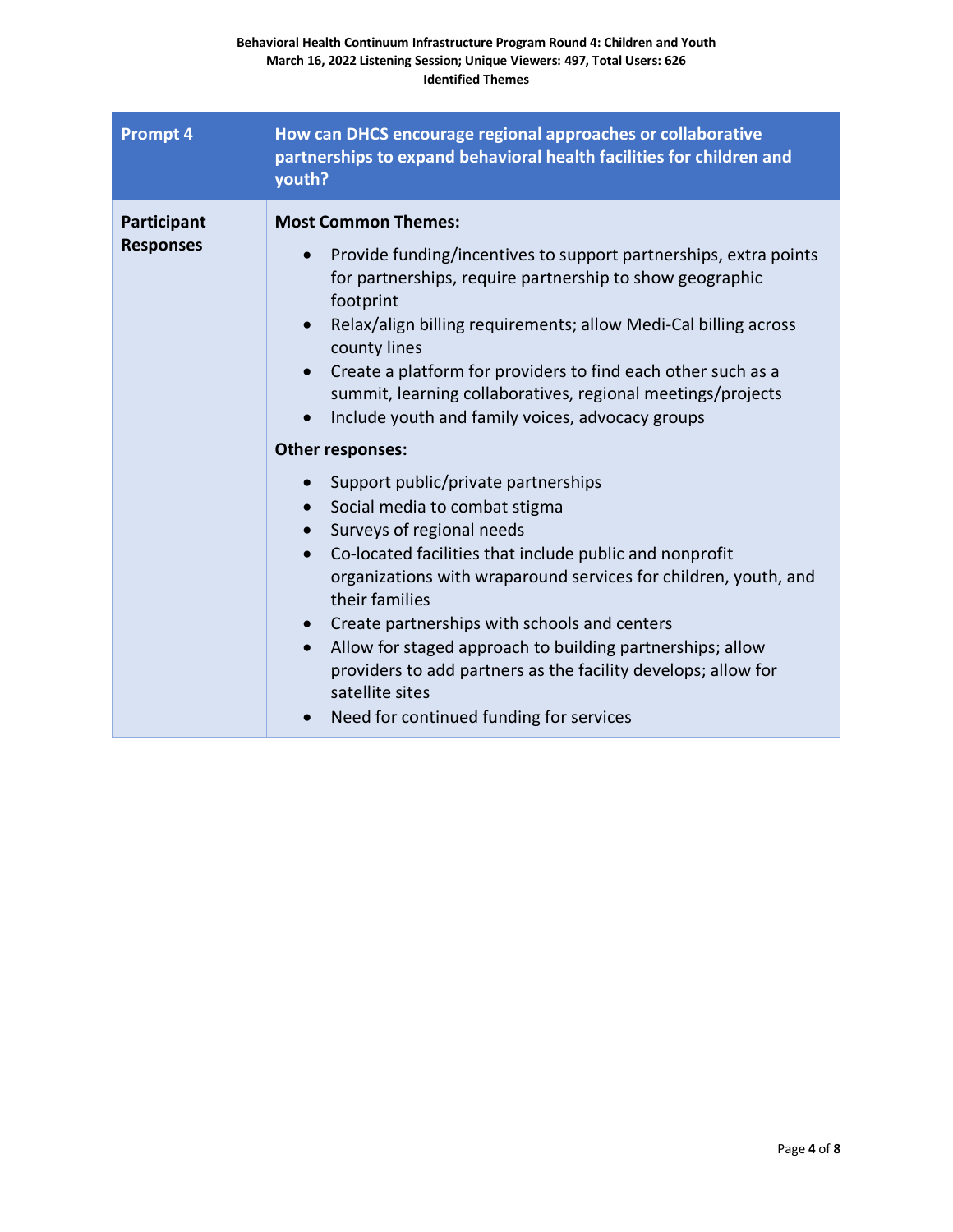| <b>Prompt 4</b>                 | How can DHCS encourage regional approaches or collaborative<br>partnerships to expand behavioral health facilities for children and<br>youth?                                                                                                                                                                                                                                                                                                                                                                                                                                                                                                                                                                                                                                                                                                                                                                                                                                                                                                    |
|---------------------------------|--------------------------------------------------------------------------------------------------------------------------------------------------------------------------------------------------------------------------------------------------------------------------------------------------------------------------------------------------------------------------------------------------------------------------------------------------------------------------------------------------------------------------------------------------------------------------------------------------------------------------------------------------------------------------------------------------------------------------------------------------------------------------------------------------------------------------------------------------------------------------------------------------------------------------------------------------------------------------------------------------------------------------------------------------|
| Participant<br><b>Responses</b> | <b>Most Common Themes:</b><br>Provide funding/incentives to support partnerships, extra points<br>$\bullet$<br>for partnerships, require partnership to show geographic<br>footprint<br>Relax/align billing requirements; allow Medi-Cal billing across<br>county lines<br>Create a platform for providers to find each other such as a<br>$\bullet$<br>summit, learning collaboratives, regional meetings/projects<br>Include youth and family voices, advocacy groups<br>Other responses:<br>Support public/private partnerships<br>$\bullet$<br>Social media to combat stigma<br>Surveys of regional needs<br>$\bullet$<br>Co-located facilities that include public and nonprofit<br>$\bullet$<br>organizations with wraparound services for children, youth, and<br>their families<br>Create partnerships with schools and centers<br>Allow for staged approach to building partnerships; allow<br>$\bullet$<br>providers to add partners as the facility develops; allow for<br>satellite sites<br>Need for continued funding for services |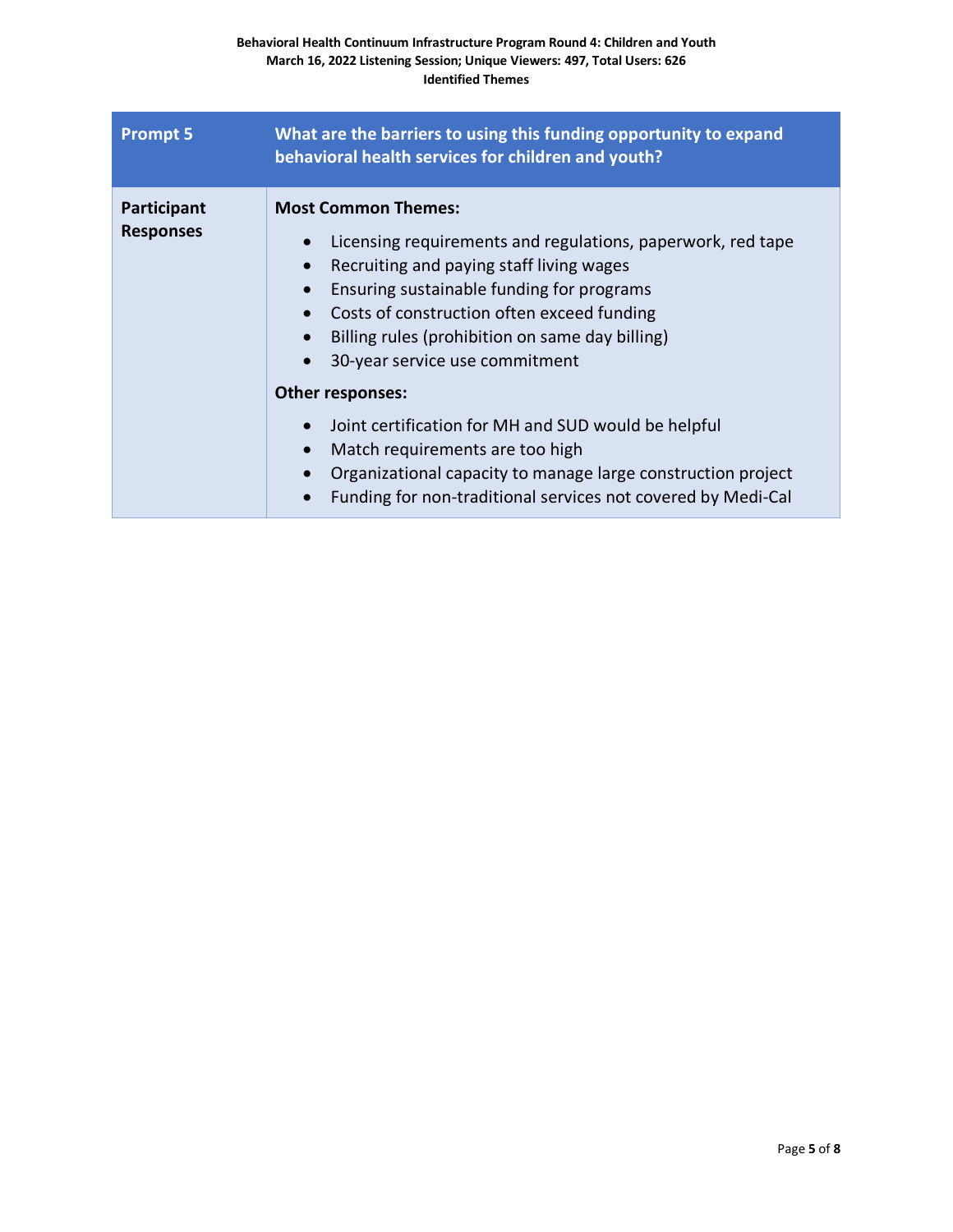| <b>Prompt 5</b>                 | What are the barriers to using this funding opportunity to expand<br>behavioral health services for children and youth?                                                                                                                                                                                                                                                                                                                                                                                                                                                                                           |
|---------------------------------|-------------------------------------------------------------------------------------------------------------------------------------------------------------------------------------------------------------------------------------------------------------------------------------------------------------------------------------------------------------------------------------------------------------------------------------------------------------------------------------------------------------------------------------------------------------------------------------------------------------------|
| Participant<br><b>Responses</b> | <b>Most Common Themes:</b><br>Licensing requirements and regulations, paperwork, red tape<br>Recruiting and paying staff living wages<br>$\bullet$<br>Ensuring sustainable funding for programs<br>Costs of construction often exceed funding<br>Billing rules (prohibition on same day billing)<br>30-year service use commitment<br><b>Other responses:</b><br>Joint certification for MH and SUD would be helpful<br>Match requirements are too high<br>$\bullet$<br>Organizational capacity to manage large construction project<br>Funding for non-traditional services not covered by Medi-Cal<br>$\bullet$ |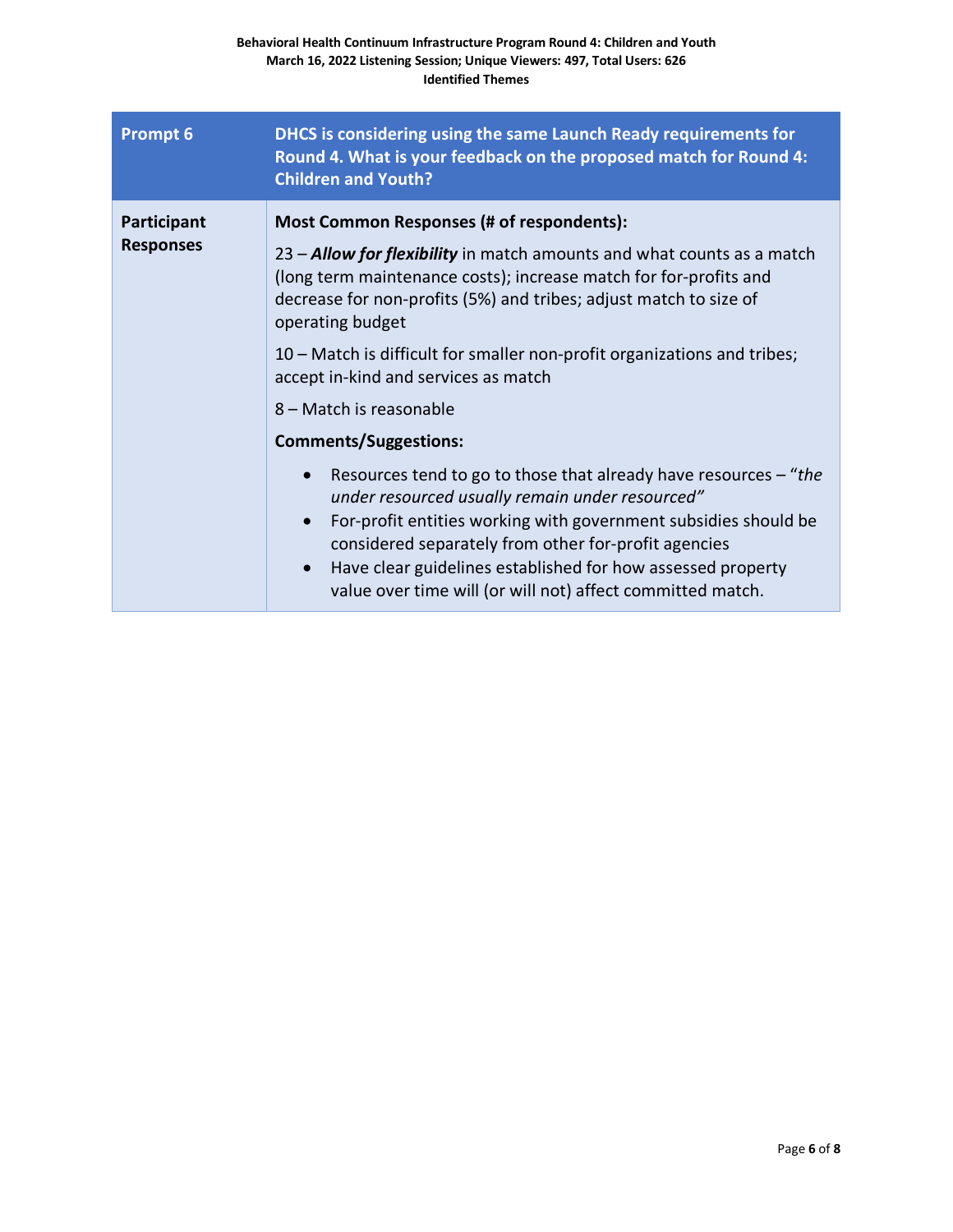| <b>Prompt 6</b>                 | DHCS is considering using the same Launch Ready requirements for<br>Round 4. What is your feedback on the proposed match for Round 4:<br><b>Children and Youth?</b>                                                                                                                                                                                                                                                                                                                                                                                                                                                                                                                                                                                                                                                                                                                |
|---------------------------------|------------------------------------------------------------------------------------------------------------------------------------------------------------------------------------------------------------------------------------------------------------------------------------------------------------------------------------------------------------------------------------------------------------------------------------------------------------------------------------------------------------------------------------------------------------------------------------------------------------------------------------------------------------------------------------------------------------------------------------------------------------------------------------------------------------------------------------------------------------------------------------|
| Participant<br><b>Responses</b> | Most Common Responses (# of respondents):<br>23 – <b>Allow for flexibility</b> in match amounts and what counts as a match<br>(long term maintenance costs); increase match for for-profits and<br>decrease for non-profits (5%) and tribes; adjust match to size of<br>operating budget<br>10 – Match is difficult for smaller non-profit organizations and tribes;<br>accept in-kind and services as match<br>8 – Match is reasonable<br><b>Comments/Suggestions:</b><br>Resources tend to go to those that already have resources $-$ "the<br>under resourced usually remain under resourced"<br>For-profit entities working with government subsidies should be<br>$\bullet$<br>considered separately from other for-profit agencies<br>Have clear guidelines established for how assessed property<br>$\bullet$<br>value over time will (or will not) affect committed match. |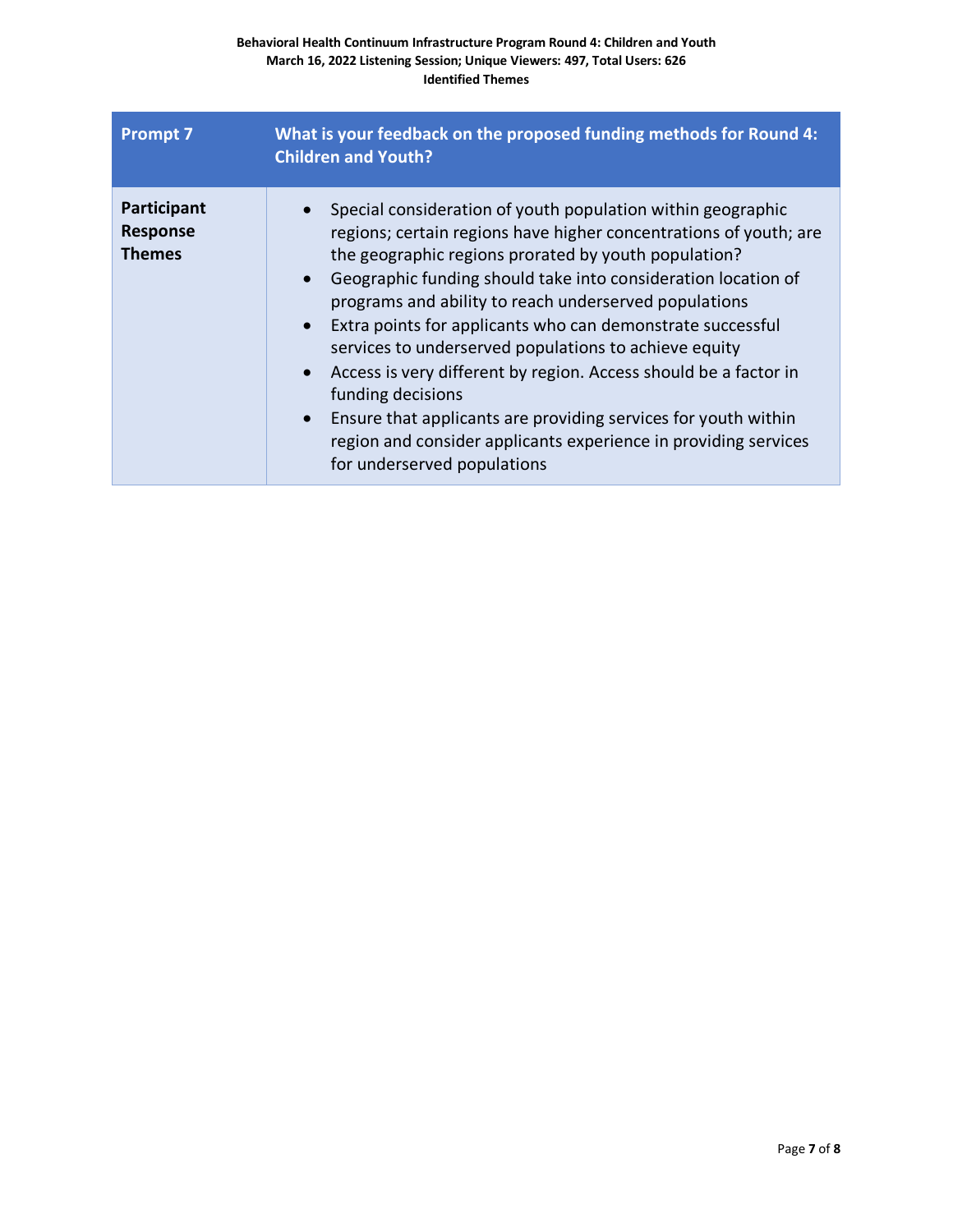| <b>Prompt 7</b>                                 | What is your feedback on the proposed funding methods for Round 4:<br><b>Children and Youth?</b>                                                                                                                                                                                                                                                                                                                                                                                                                                                                                                                                                                                                                                                           |
|-------------------------------------------------|------------------------------------------------------------------------------------------------------------------------------------------------------------------------------------------------------------------------------------------------------------------------------------------------------------------------------------------------------------------------------------------------------------------------------------------------------------------------------------------------------------------------------------------------------------------------------------------------------------------------------------------------------------------------------------------------------------------------------------------------------------|
| Participant<br><b>Response</b><br><b>Themes</b> | Special consideration of youth population within geographic<br>regions; certain regions have higher concentrations of youth; are<br>the geographic regions prorated by youth population?<br>Geographic funding should take into consideration location of<br>$\bullet$<br>programs and ability to reach underserved populations<br>Extra points for applicants who can demonstrate successful<br>$\bullet$<br>services to underserved populations to achieve equity<br>Access is very different by region. Access should be a factor in<br>$\bullet$<br>funding decisions<br>Ensure that applicants are providing services for youth within<br>$\bullet$<br>region and consider applicants experience in providing services<br>for underserved populations |